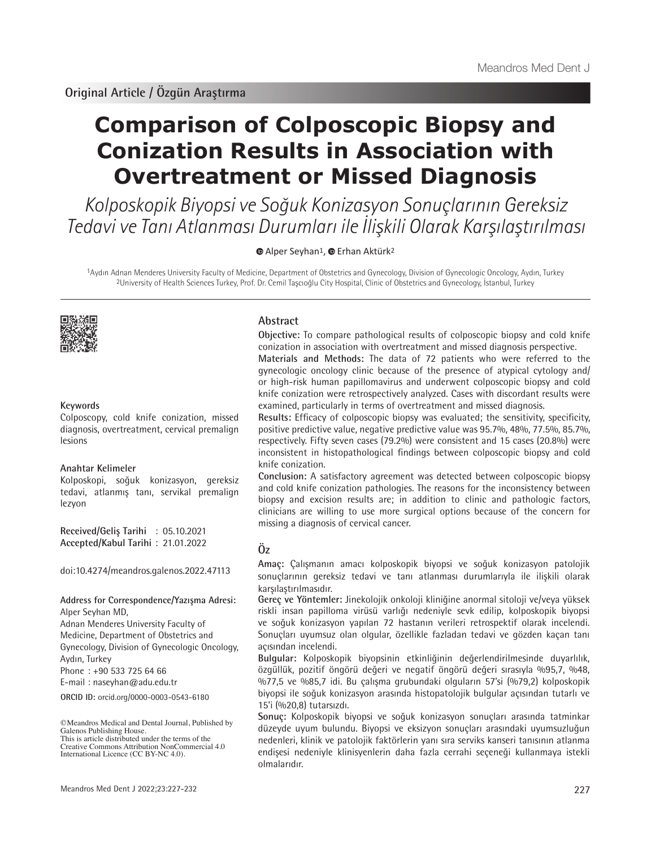# **Comparison of Colposcopic Biopsy and Conization Results in Association with Overtreatment or Missed Diagnosis**

Kolposkopik Biyopsi ve Soğuk Konizasyon Sonuçlarının Gereksiz Tedavi ve Tanı Atlanması Durumları ile İlişkili Olarak Karşılaştırılması

**AlperSeyhan<sup>1</sup>**, **Erhan Aktürk<sup>2</sup>** 

1Aydın Adnan Menderes University Faculty of Medicine, Department of Obstetrics and Gynecology, Division of Gynecologic Oncology, Aydın, Turkey 2University of Health Sciences Turkey, Prof. Dr. Cemil Taşcıoğlu City Hospital, Clinic of Obstetrics and Gynecology, İstanbul, Turkey



# **Keywords**

Colposcopy, cold knife conization, missed diagnosis, overtreatment, cervical premalign lesions

# **Anahtar Kelimeler**

Kolposkopi, soğuk konizasyon, gereksiz tedavi, atlanmış tanı, servikal premalign lezyon

**Received/Geliş Tarihi** : 05.10.2021 **Accepted/Kabul Tarihi** : 21.01.2022

doi:10.4274/meandros.galenos.2022.47113

# **Address for Correspondence/Yazışma Adresi:** Alper Seyhan MD,

Adnan Menderes University Faculty of Medicine, Department of Obstetrics and Gynecology, Division of Gynecologic Oncology, Aydın, Turkey

Phone : +90 533 725 64 66

E-mail : naseyhan@adu.edu.tr

**ORCID ID:** orcid.org/0000-0003-0543-6180

# **Abstract**

**Objective:** To compare pathological results of colposcopic biopsy and cold knife conization in association with overtreatment and missed diagnosis perspective. **Materials and Methods:** The data of 72 patients who were referred to the gynecologic oncology clinic because of the presence of atypical cytology and/ or high-risk human papillomavirus and underwent colposcopic biopsy and cold knife conization were retrospectively analyzed. Cases with discordant results were examined, particularly in terms of overtreatment and missed diagnosis.

**Results:** Efficacy of colposcopic biopsy was evaluated; the sensitivity, specificity, positive predictive value, negative predictive value was 95.7%, 48%, 77.5%, 85.7%, respectively. Fifty seven cases (79.2%) were consistent and 15 cases (20.8%) were inconsistent in histopathological findings between colposcopic biopsy and cold knife conization.

**Conclusion:** A satisfactory agreement was detected between colposcopic biopsy and cold knife conization pathologies. The reasons for the inconsistency between biopsy and excision results are; in addition to clinic and pathologic factors, clinicians are willing to use more surgical options because of the concern for missing a diagnosis of cervical cancer.

# **Öz**

**Amaç:** Çalışmanın amacı kolposkopik biyopsi ve soğuk konizasyon patolojik sonuçlarının gereksiz tedavi ve tanı atlanması durumlarıyla ile ilişkili olarak karşılaştırılmasıdır.

**Gereç ve Yöntemler:** Jinekolojik onkoloji kliniğine anormal sitoloji ve/veya yüksek riskli insan papilloma virüsü varlığı nedeniyle sevk edilip, kolposkopik biyopsi ve soğuk konizasyon yapılan 72 hastanın verileri retrospektif olarak incelendi. Sonuçları uyumsuz olan olgular, özellikle fazladan tedavi ve gözden kaçan tanı açısından incelendi.

**Bulgular:** Kolposkopik biyopsinin etkinliğinin değerlendirilmesinde duyarlılık, özgüllük, pozitif öngörü değeri ve negatif öngörü değeri sırasıyla %95,7, %48, %77,5 ve %85,7 idi. Bu çalışma grubundaki olguların 57'si (%79,2) kolposkopik biyopsi ile soğuk konizasyon arasında histopatolojik bulgular açısından tutarlı ve 15'i (%20,8) tutarsızdı.

**Sonuç:** Kolposkopik biyopsi ve soğuk konizasyon sonuçları arasında tatminkar düzeyde uyum bulundu. Biyopsi ve eksizyon sonuçları arasındaki uyumsuzluğun nedenleri, klinik ve patolojik faktörlerin yanı sıra serviks kanseri tanısının atlanma endişesi nedeniyle klinisyenlerin daha fazla cerrahi seçeneği kullanmaya istekli olmalarıdır.

<sup>©</sup>Meandros Medical and Dental Journal, Published by Galenos Publishing House. This is article distributed under the terms of the

Creative Commons Attribution NonCommercial 4.0 International Licence (CC BY-NC 4.0).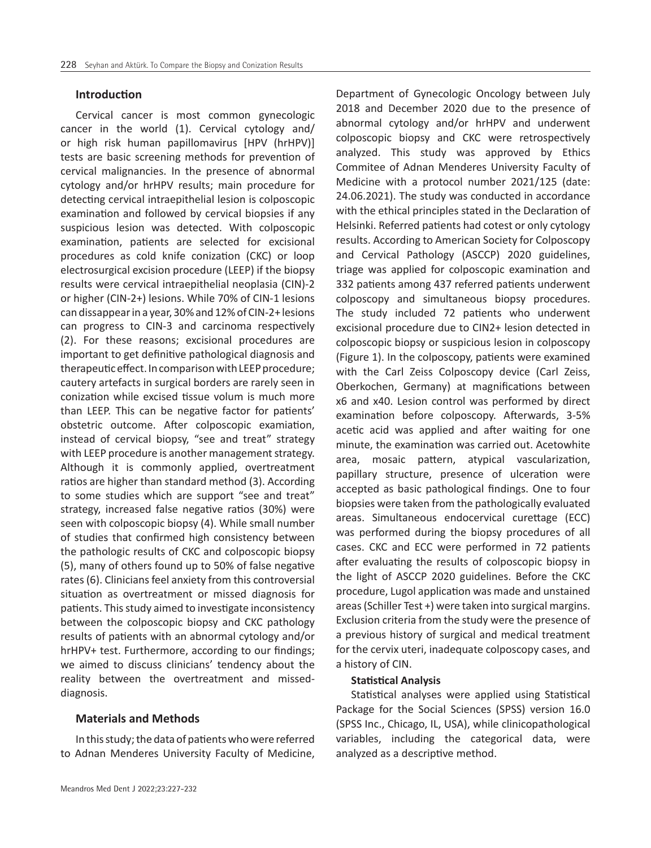# **Introduction**

Cervical cancer is most common gynecologic cancer in the world (1). Cervical cytology and/ or high risk human papillomavirus [HPV (hrHPV)] tests are basic screening methods for prevention of cervical malignancies. In the presence of abnormal cytology and/or hrHPV results; main procedure for detecting cervical intraepithelial lesion is colposcopic examination and followed by cervical biopsies if any suspicious lesion was detected. With colposcopic examination, patients are selected for excisional procedures as cold knife conization (CKC) or loop electrosurgical excision procedure (LEEP) if the biopsy results were cervical intraepithelial neoplasia (CIN)-2 or higher (CIN-2+) lesions. While 70% of CIN-1 lesions can dissappear in a year, 30% and 12% of CIN-2+ lesions can progress to CIN-3 and carcinoma respectively (2). For these reasons; excisional procedures are important to get definitive pathological diagnosis and therapeutic effect. In comparison with LEEP procedure; cautery artefacts in surgical borders are rarely seen in conization while excised tissue volum is much more than LEEP. This can be negative factor for patients' obstetric outcome. After colposcopic examiation, instead of cervical biopsy, "see and treat" strategy with LEEP procedure is another management strategy. Although it is commonly applied, overtreatment ratios are higher than standard method (3). According to some studies which are support "see and treat" strategy, increased false negative ratios (30%) were seen with colposcopic biopsy (4). While small number of studies that confirmed high consistency between the pathologic results of CKC and colposcopic biopsy (5), many of others found up to 50% of false negative rates (6). Clinicians feel anxiety from this controversial situation as overtreatment or missed diagnosis for patients. This study aimed to investigate inconsistency between the colposcopic biopsy and CKC pathology results of patients with an abnormal cytology and/or hrHPV+ test. Furthermore, according to our findings; we aimed to discuss clinicians' tendency about the reality between the overtreatment and misseddiagnosis.

# **Materials and Methods**

In this study; the data of patients who were referred to Adnan Menderes University Faculty of Medicine,

Department of Gynecologic Oncology between July 2018 and December 2020 due to the presence of abnormal cytology and/or hrHPV and underwent colposcopic biopsy and CKC were retrospectively analyzed. This study was approved by Ethics Commitee of Adnan Menderes University Faculty of Medicine with a protocol number 2021/125 (date: 24.06.2021). The study was conducted in accordance with the ethical principles stated in the Declaration of Helsinki. Referred patients had cotest or only cytology results. According to American Society for Colposcopy and Cervical Pathology (ASCCP) 2020 guidelines, triage was applied for colposcopic examination and 332 patients among 437 referred patients underwent colposcopy and simultaneous biopsy procedures. The study included 72 patients who underwent excisional procedure due to CIN2+ lesion detected in colposcopic biopsy or suspicious lesion in colposcopy (Figure 1). In the colposcopy, patients were examined with the Carl Zeiss Colposcopy device (Carl Zeiss, Oberkochen, Germany) at magnifications between x6 and x40. Lesion control was performed by direct examination before colposcopy. Afterwards, 3-5% acetic acid was applied and after waiting for one minute, the examination was carried out. Acetowhite area, mosaic pattern, atypical vascularization, papillary structure, presence of ulceration were accepted as basic pathological findings. One to four biopsies were taken from the pathologically evaluated areas. Simultaneous endocervical curettage (ECC) was performed during the biopsy procedures of all cases. CKC and ECC were performed in 72 patients after evaluating the results of colposcopic biopsy in the light of ASCCP 2020 guidelines. Before the CKC procedure, Lugol application was made and unstained areas (Schiller Test +) were taken into surgical margins. Exclusion criteria from the study were the presence of a previous history of surgical and medical treatment for the cervix uteri, inadequate colposcopy cases, and a history of CIN.

### **Statistical Analysis**

Statistical analyses were applied using Statistical Package for the Social Sciences (SPSS) version 16.0 (SPSS Inc., Chicago, IL, USA), while clinicopathological variables, including the categorical data, were analyzed as a descriptive method.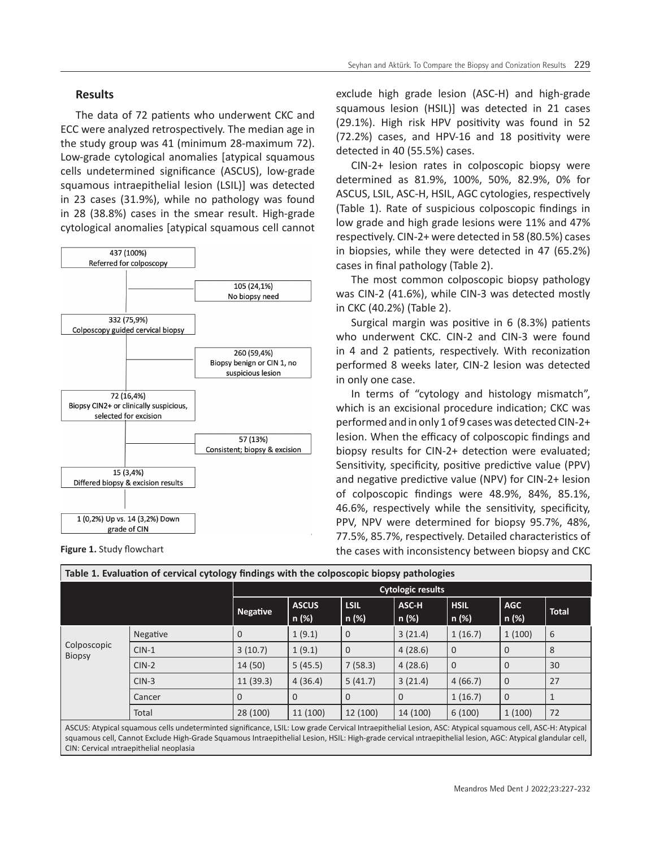# **Results**

The data of 72 patients who underwent CKC and ECC were analyzed retrospectively. The median age in the study group was 41 (minimum 28-maximum 72). Low-grade cytological anomalies [atypical squamous cells undetermined significance (ASCUS), low-grade squamous intraepithelial lesion (LSIL)] was detected in 23 cases (31.9%), while no pathology was found in 28 (38.8%) cases in the smear result. High-grade cytological anomalies [atypical squamous cell cannot



exclude high grade lesion (ASC-H) and high-grade squamous lesion (HSIL)] was detected in 21 cases (29.1%). High risk HPV positivity was found in 52 (72.2%) cases, and HPV-16 and 18 positivity were detected in 40 (55.5%) cases.

CIN-2+ lesion rates in colposcopic biopsy were determined as 81.9%, 100%, 50%, 82.9%, 0% for ASCUS, LSIL, ASC-H, HSIL, AGC cytologies, respectively (Table 1). Rate of suspicious colposcopic findings in low grade and high grade lesions were 11% and 47% respectively. CIN-2+ were detected in 58 (80.5%) cases in biopsies, while they were detected in 47 (65.2%) cases in final pathology (Table 2).

The most common colposcopic biopsy pathology was CIN-2 (41.6%), while CIN-3 was detected mostly in CKC (40.2%) (Table 2).

Surgical margin was positive in 6 (8.3%) patients who underwent CKC. CIN-2 and CIN-3 were found in 4 and 2 patients, respectively. With reconization performed 8 weeks later, CIN-2 lesion was detected in only one case.

In terms of "cytology and histology mismatch", which is an excisional procedure indication; CKC was performed and in only 1 of 9 cases was detected CIN-2+ lesion. When the efficacy of colposcopic findings and biopsy results for CIN-2+ detection were evaluated; Sensitivity, specificity, positive predictive value (PPV) and negative predictive value (NPV) for CIN-2+ lesion of colposcopic findings were 48.9%, 84%, 85.1%, 46.6%, respectively while the sensitivity, specificity, PPV, NPV were determined for biopsy 95.7%, 48%, 77.5%, 85.7%, respectively. Detailed characteristics of **Figure 1.** Study flowchart **Exercise 2. Study flowchart** the cases with inconsistency between biopsy and CKC

| Table 1. Evaluation of cervical cytology findings with the colposcopic biopsy pathologies |          |                          |                       |                      |                |                      |                     |              |  |
|-------------------------------------------------------------------------------------------|----------|--------------------------|-----------------------|----------------------|----------------|----------------------|---------------------|--------------|--|
|                                                                                           |          | <b>Cytologic results</b> |                       |                      |                |                      |                     |              |  |
|                                                                                           |          | <b>Negative</b>          | <b>ASCUS</b><br>n (%) | <b>LSIL</b><br>n (%) | ASC-H<br>n (%) | <b>HSIL</b><br>n (%) | <b>AGC</b><br>n (%) | <b>Total</b> |  |
| Colposcopic<br><b>Biopsy</b>                                                              | Negative | $\overline{0}$           | 1(9.1)                | $\mathbf 0$          | 3(21.4)        | 1(16.7)              | 1(100)              | 6            |  |
|                                                                                           | $CIN-1$  | 3(10.7)                  | 1(9.1)                | $\mathbf{0}$         | 4(28.6)        | $\overline{0}$       | $\Omega$            | 8            |  |
|                                                                                           | $CIN-2$  | 14(50)                   | 5(45.5)               | 7(58.3)              | 4(28.6)        | $\overline{0}$       | $\Omega$            | 30           |  |
|                                                                                           | $CIN-3$  | 11(39.3)                 | 4(36.4)               | 5(41.7)              | 3(21.4)        | 4(66.7)              | $\Omega$            | 27           |  |
|                                                                                           | Cancer   | $\overline{0}$           | $\Omega$              | $\overline{0}$       | $\overline{0}$ | 1(16.7)              | $\Omega$            |              |  |
|                                                                                           | Total    | 28 (100)                 | 11 (100)              | 12 (100)             | 14 (100)       | 6(100)               | 1(100)              | 72           |  |
|                                                                                           |          |                          |                       |                      |                |                      |                     |              |  |

ASCUS: Atypical squamous cells undeterminted significance, LSIL: Low grade Cervical Intraepithelial Lesion, ASC: Atypical squamous cell, ASC-H: Atypical squamous cell, Cannot Exclude High-Grade Squamous Intraepithelial Lesion, HSIL: High-grade cervical ıntraepithelial lesion, AGC: Atypical glandular cell, CIN: Cervical ıntraepithelial neoplasia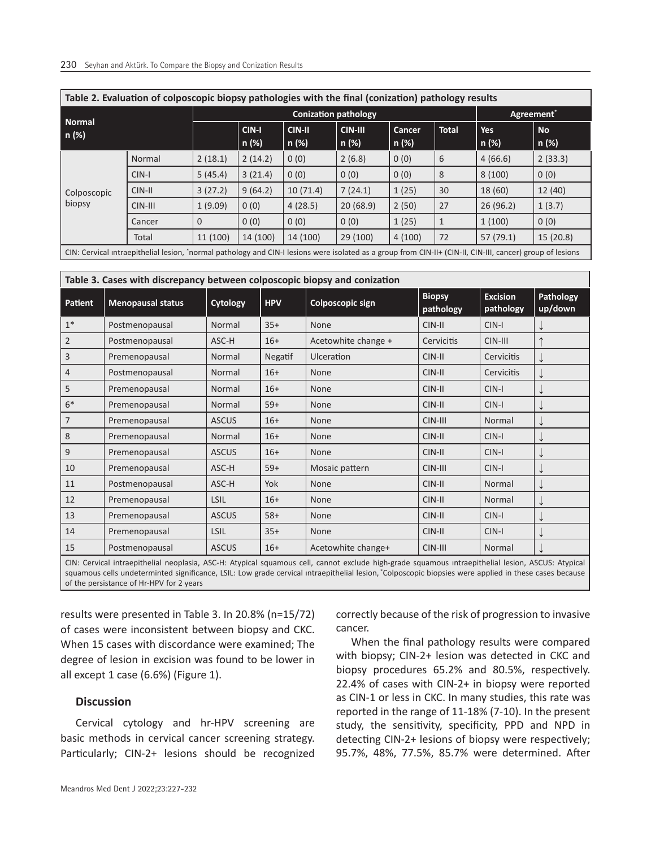| Table 2. Evaluation of colposcopic biopsy pathologies with the final (conization) pathology results                                                      |          |          |                |                        |                           |                 |              |                     |                    |  |
|----------------------------------------------------------------------------------------------------------------------------------------------------------|----------|----------|----------------|------------------------|---------------------------|-----------------|--------------|---------------------|--------------------|--|
| <b>Normal</b><br>n (%)                                                                                                                                   |          |          |                | Agreement <sup>*</sup> |                           |                 |              |                     |                    |  |
|                                                                                                                                                          |          |          | CIN-I<br>n (%) | <b>CIN-II</b><br>n (%) | <b>CIN-III</b><br>  n (%) | Cancer<br>n (%) | <b>Total</b> | <b>Yes</b><br>n (%) | <b>No</b><br>n (%) |  |
| Colposcopic<br>biopsy                                                                                                                                    | Normal   | 2(18.1)  | 2(14.2)        | 0(0)                   | 2(6.8)                    | 0(0)            | 6            | 4(66.6)             | 2(33.3)            |  |
|                                                                                                                                                          | CIN-I    | 5(45.4)  | 3(21.4)        | 0(0)                   | 0(0)                      | 0(0)            | 8            | 8(100)              | 0(0)               |  |
|                                                                                                                                                          | $CIN-II$ | 3(27.2)  | 9(64.2)        | 10(71.4)               | 7(24.1)                   | 1(25)           | 30           | 18(60)              | 12 (40)            |  |
|                                                                                                                                                          | CIN-III  | 1(9.09)  | 0(0)           | 4(28.5)                | 20(68.9)                  | 2(50)           | 27           | 26(96.2)            | 1(3.7)             |  |
|                                                                                                                                                          | Cancer   | $\Omega$ | 0(0)           | 0(0)                   | 0(0)                      | 1(25)           |              | 1(100)              | 0(0)               |  |
|                                                                                                                                                          | Total    | 11 (100) | 14 (100)       | 14 (100)               | 29(100)                   | 4(100)          | 72           | 57(79.1)            | 15(20.8)           |  |
| CINI: Convictive introportibolial locion "parmal pathology and CINI Llocions were isolated as a group from CINI U (CINI) CINI U cancer) group of locions |          |          |                |                        |                           |                 |              |                     |                    |  |

CIN: Cervical ıntraepithelial lesion, \* normal pathology and CIN-I lesions were isolated as a group from CIN-II+ (CIN-II, CIN-III, cancer) group of lesions

**Table 3. Cases with discrepancy between colposcopic biopsy and conization**

| Patient                                                                                                                                            | <b>Menopausal status</b> | Cytology     | <b>HPV</b> | Colposcopic sign    | <b>Biopsy</b><br>pathology | <b>Excision</b><br>pathology | Pathology<br>up/down |  |
|----------------------------------------------------------------------------------------------------------------------------------------------------|--------------------------|--------------|------------|---------------------|----------------------------|------------------------------|----------------------|--|
| $1*$                                                                                                                                               | Postmenopausal           | Normal       | $35+$      | <b>None</b>         | CIN-II                     | CIN-I                        |                      |  |
| $\overline{2}$                                                                                                                                     | Postmenopausal           | ASC-H        | $16+$      | Acetowhite change + | <b>Cervicitis</b>          | CIN-III                      | ↑                    |  |
| $\overline{3}$                                                                                                                                     | Premenopausal            | Normal       | Negatif    | Ulceration          | CIN-II                     | Cervicitis                   | ↓                    |  |
| $\overline{4}$                                                                                                                                     | Postmenopausal           | Normal       | $16+$      | None                | CIN-II                     | Cervicitis                   | ↓                    |  |
| 5                                                                                                                                                  | Premenopausal            | Normal       | $16+$      | <b>None</b>         | CIN-II                     | CIN-I                        | ↓                    |  |
| $6*$                                                                                                                                               | Premenopausal            | Normal       | $59+$      | None                | CIN-II                     | CIN-I                        | ↓                    |  |
| 7                                                                                                                                                  | Premenopausal            | <b>ASCUS</b> | $16+$      | None                | CIN-III                    | Normal                       | ↓                    |  |
| 8                                                                                                                                                  | Premenopausal            | Normal       | $16+$      | None                | CIN-II                     | CIN-I                        | ↓                    |  |
| 9                                                                                                                                                  | Premenopausal            | <b>ASCUS</b> | $16+$      | None                | CIN-II                     | CIN-I                        | ↓                    |  |
| 10                                                                                                                                                 | Premenopausal            | ASC-H        | $59+$      | Mosaic pattern      | CIN-III                    | CIN-I                        | ↓                    |  |
| 11                                                                                                                                                 | Postmenopausal           | ASC-H        | Yok        | None                | CIN-II                     | Normal                       | ↓                    |  |
| 12                                                                                                                                                 | Premenopausal            | LSIL         | $16+$      | <b>None</b>         | CIN-II                     | Normal                       | ↓                    |  |
| 13                                                                                                                                                 | Premenopausal            | <b>ASCUS</b> | $58+$      | None                | CIN-II                     | CIN-I                        | ↓                    |  |
| 14                                                                                                                                                 | Premenopausal            | <b>LSIL</b>  | $35+$      | None                | CIN-II                     | CIN-I                        |                      |  |
| 15                                                                                                                                                 | Postmenopausal           | <b>ASCUS</b> | $16+$      | Acetowhite change+  | CIN-III                    | Normal                       |                      |  |
| CIN: Cervical intraportibalial neonlasia ASC-H; Atynical squamous cell cannot evclude bigh-grade squamous intraportibelial lesion ASCIJS: Atynical |                          |              |            |                     |                            |                              |                      |  |

CIN: Cervical intraepithelial neoplasia, ASC-H: Atypical squamous cell, cannot exclude high-grade squamous ıntraepithelial lesion, ASCUS: Atypical squamous cells undeterminted significance, LSIL: Low grade cervical ıntraepithelial lesion, 'Colposcopic biopsies were applied in these cases because of the persistance of Hr-HPV for 2 years

results were presented in Table 3. In 20.8% (n=15/72) of cases were inconsistent between biopsy and CKC. When 15 cases with discordance were examined; The degree of lesion in excision was found to be lower in all except 1 case (6.6%) (Figure 1).

# **Discussion**

Cervical cytology and hr-HPV screening are basic methods in cervical cancer screening strategy. Particularly; CIN-2+ lesions should be recognized correctly because of the risk of progression to invasive cancer.

When the final pathology results were compared with biopsy; CIN-2+ lesion was detected in CKC and biopsy procedures 65.2% and 80.5%, respectively. 22.4% of cases with CIN-2+ in biopsy were reported as CIN-1 or less in CKC. In many studies, this rate was reported in the range of 11-18% (7-10). In the present study, the sensitivity, specificity, PPD and NPD in detecting CIN-2+ lesions of biopsy were respectively; 95.7%, 48%, 77.5%, 85.7% were determined. After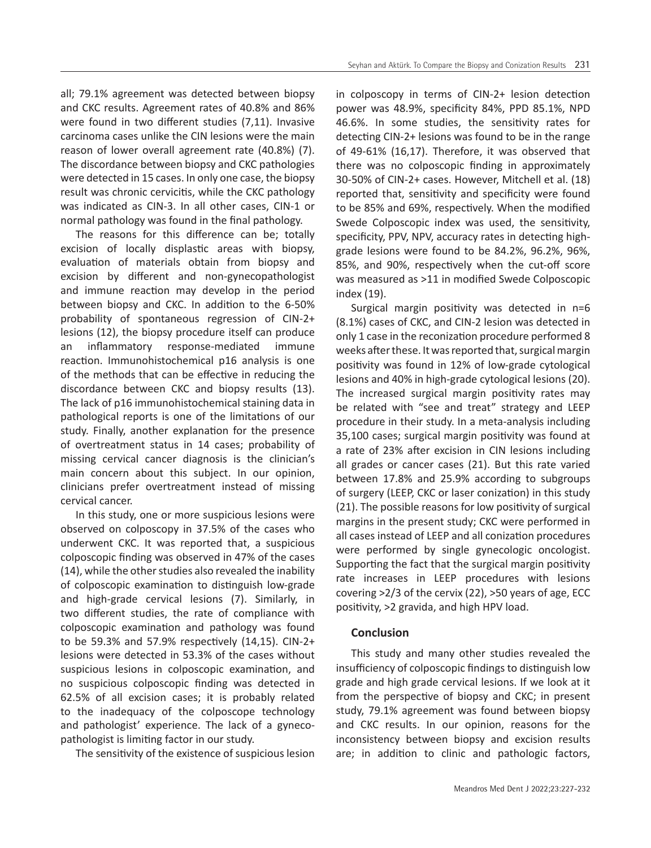all; 79.1% agreement was detected between biopsy and CKC results. Agreement rates of 40.8% and 86% were found in two different studies (7,11). Invasive carcinoma cases unlike the CIN lesions were the main reason of lower overall agreement rate (40.8%) (7). The discordance between biopsy and CKC pathologies were detected in 15 cases. In only one case, the biopsy result was chronic cervicitis, while the CKC pathology was indicated as CIN-3. In all other cases, CIN-1 or normal pathology was found in the final pathology.

The reasons for this difference can be; totally excision of locally displastic areas with biopsy, evaluation of materials obtain from biopsy and excision by different and non-gynecopathologist and immune reaction may develop in the period between biopsy and CKC. In addition to the 6-50% probability of spontaneous regression of CIN-2+ lesions (12), the biopsy procedure itself can produce an inflammatory response-mediated immune reaction. Immunohistochemical p16 analysis is one of the methods that can be effective in reducing the discordance between CKC and biopsy results (13). The lack of p16 immunohistochemical staining data in pathological reports is one of the limitations of our study. Finally, another explanation for the presence of overtreatment status in 14 cases; probability of missing cervical cancer diagnosis is the clinician's main concern about this subject. In our opinion, clinicians prefer overtreatment instead of missing cervical cancer.

In this study, one or more suspicious lesions were observed on colposcopy in 37.5% of the cases who underwent CKC. It was reported that, a suspicious colposcopic finding was observed in 47% of the cases (14), while the other studies also revealed the inability of colposcopic examination to distinguish low-grade and high-grade cervical lesions (7). Similarly, in two different studies, the rate of compliance with colposcopic examination and pathology was found to be 59.3% and 57.9% respectively (14,15). CIN-2+ lesions were detected in 53.3% of the cases without suspicious lesions in colposcopic examination, and no suspicious colposcopic finding was detected in 62.5% of all excision cases; it is probably related to the inadequacy of the colposcope technology and pathologist' experience. The lack of a gynecopathologist is limiting factor in our study.

The sensitivity of the existence of suspicious lesion

in colposcopy in terms of CIN-2+ lesion detection power was 48.9%, specificity 84%, PPD 85.1%, NPD 46.6%. In some studies, the sensitivity rates for detecting CIN-2+ lesions was found to be in the range of 49-61% (16,17). Therefore, it was observed that there was no colposcopic finding in approximately 30-50% of CIN-2+ cases. However, Mitchell et al. (18) reported that, sensitivity and specificity were found to be 85% and 69%, respectively. When the modified Swede Colposcopic index was used, the sensitivity, specificity, PPV, NPV, accuracy rates in detecting highgrade lesions were found to be 84.2%, 96.2%, 96%, 85%, and 90%, respectively when the cut-off score was measured as >11 in modified Swede Colposcopic index (19).

Surgical margin positivity was detected in n=6 (8.1%) cases of CKC, and CIN-2 lesion was detected in only 1 case in the reconization procedure performed 8 weeks after these. It was reported that, surgical margin positivity was found in 12% of low-grade cytological lesions and 40% in high-grade cytological lesions (20). The increased surgical margin positivity rates may be related with "see and treat" strategy and LEEP procedure in their study. In a meta-analysis including 35,100 cases; surgical margin positivity was found at a rate of 23% after excision in CIN lesions including all grades or cancer cases (21). But this rate varied between 17.8% and 25.9% according to subgroups of surgery (LEEP, CKC or laser conization) in this study (21). The possible reasons for low positivity of surgical margins in the present study; CKC were performed in all cases instead of LEEP and all conization procedures were performed by single gynecologic oncologist. Supporting the fact that the surgical margin positivity rate increases in LEEP procedures with lesions covering >2/3 of the cervix (22), >50 years of age, ECC positivity, >2 gravida, and high HPV load.

# **Conclusion**

This study and many other studies revealed the insufficiency of colposcopic findings to distinguish low grade and high grade cervical lesions. If we look at it from the perspective of biopsy and CKC; in present study, 79.1% agreement was found between biopsy and CKC results. In our opinion, reasons for the inconsistency between biopsy and excision results are; in addition to clinic and pathologic factors,